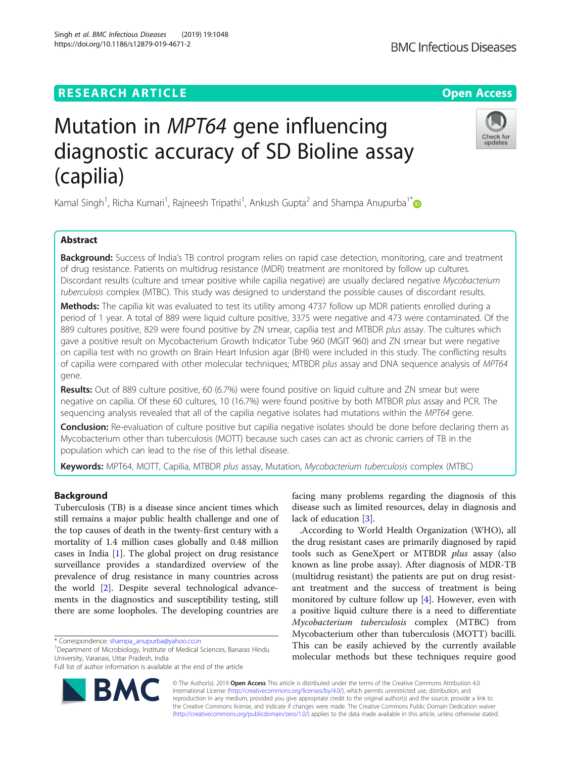# **RESEARCH ARTICLE Example 2014 CONSIDERING A RESEARCH ARTICLE**

# Mutation in MPT64 gene influencing diagnostic accuracy of SD Bioline assay (capilia)

Kamal Singh<sup>1</sup>, Richa Kumari<sup>1</sup>, Rajneesh Tripathi<sup>1</sup>, Ankush Gupta<sup>2</sup> and Shampa Anupurba<sup>1\*</sup>

# Abstract

**Background:** Success of India's TB control program relies on rapid case detection, monitoring, care and treatment of drug resistance. Patients on multidrug resistance (MDR) treatment are monitored by follow up cultures. Discordant results (culture and smear positive while capilia negative) are usually declared negative Mycobacterium tuberculosis complex (MTBC). This study was designed to understand the possible causes of discordant results.

Methods: The capilia kit was evaluated to test its utility among 4737 follow up MDR patients enrolled during a period of 1 year. A total of 889 were liquid culture positive, 3375 were negative and 473 were contaminated. Of the 889 cultures positive, 829 were found positive by ZN smear, capilia test and MTBDR plus assay. The cultures which gave a positive result on Mycobacterium Growth Indicator Tube 960 (MGIT 960) and ZN smear but were negative on capilia test with no growth on Brain Heart Infusion agar (BHI) were included in this study. The conflicting results of capilia were compared with other molecular techniques; MTBDR plus assay and DNA sequence analysis of MPT64 gene.

Results: Out of 889 culture positive, 60 (6.7%) were found positive on liquid culture and ZN smear but were negative on capilia. Of these 60 cultures, 10 (16.7%) were found positive by both MTBDR plus assay and PCR. The sequencing analysis revealed that all of the capilia negative isolates had mutations within the MPT64 gene.

Conclusion: Re-evaluation of culture positive but capilia negative isolates should be done before declaring them as Mycobacterium other than tuberculosis (MOTT) because such cases can act as chronic carriers of TB in the population which can lead to the rise of this lethal disease.

**Keywords:** MPT64, MOTT, Capilia, MTBDR plus assay, Mutation, *Mycobacterium tuberculosis* complex (MTBC)

# Background

Tuberculosis (TB) is a disease since ancient times which still remains a major public health challenge and one of the top causes of death in the twenty-first century with a mortality of 1.4 million cases globally and 0.48 million cases in India [\[1](#page-4-0)]. The global project on drug resistance surveillance provides a standardized overview of the prevalence of drug resistance in many countries across the world [[2\]](#page-5-0). Despite several technological advancements in the diagnostics and susceptibility testing, still there are some loopholes. The developing countries are

\* Correspondence: [shampa\\_anupurba@yahoo.co.in](mailto:shampa_anupurba@yahoo.co.in) <sup>1</sup>

<sup>1</sup>Department of Microbiology, Institute of Medical Sciences, Banaras Hindu University, Varanasi, Uttar Pradesh, India

© The Author(s). 2019 Open Access This article is distributed under the terms of the Creative Commons Attribution 4.0 International License [\(http://creativecommons.org/licenses/by/4.0/](http://creativecommons.org/licenses/by/4.0/)), which permits unrestricted use, distribution, and reproduction in any medium, provided you give appropriate credit to the original author(s) and the source, provide a link to the Creative Commons license, and indicate if changes were made. The Creative Commons Public Domain Dedication waiver [\(http://creativecommons.org/publicdomain/zero/1.0/](http://creativecommons.org/publicdomain/zero/1.0/)) applies to the data made available in this article, unless otherwise stated.

facing many problems regarding the diagnosis of this disease such as limited resources, delay in diagnosis and lack of education [[3\]](#page-5-0).

.According to World Health Organization (WHO), all the drug resistant cases are primarily diagnosed by rapid tools such as GeneXpert or MTBDR plus assay (also known as line probe assay). After diagnosis of MDR-TB (multidrug resistant) the patients are put on drug resistant treatment and the success of treatment is being monitored by culture follow up  $[4]$  $[4]$ . However, even with a positive liquid culture there is a need to differentiate Mycobacterium tuberculosis complex (MTBC) from Mycobacterium other than tuberculosis (MOTT) bacilli. This can be easily achieved by the currently available molecular methods but these techniques require good





Check for updates

Full list of author information is available at the end of the article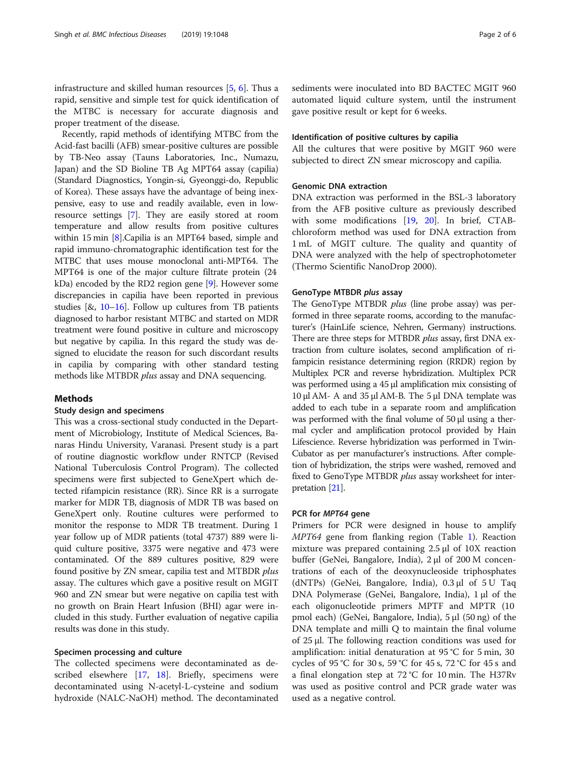infrastructure and skilled human resources [[5,](#page-5-0) [6\]](#page-5-0). Thus a rapid, sensitive and simple test for quick identification of the MTBC is necessary for accurate diagnosis and proper treatment of the disease.

Recently, rapid methods of identifying MTBC from the Acid-fast bacilli (AFB) smear-positive cultures are possible by TB-Neo assay (Tauns Laboratories, Inc., Numazu, Japan) and the SD Bioline TB Ag MPT64 assay (capilia) (Standard Diagnostics, Yongin-si, Gyeonggi-do, Republic of Korea). These assays have the advantage of being inexpensive, easy to use and readily available, even in lowresource settings [\[7\]](#page-5-0). They are easily stored at room temperature and allow results from positive cultures within 15 min [[8](#page-5-0)].Capilia is an MPT64 based, simple and rapid immuno-chromatographic identification test for the MTBC that uses mouse monoclonal anti-MPT64. The MPT64 is one of the major culture filtrate protein (24 kDa) encoded by the RD2 region gene [\[9](#page-5-0)]. However some discrepancies in capilia have been reported in previous studies  $[8, 10-16]$  $[8, 10-16]$  $[8, 10-16]$  $[8, 10-16]$  $[8, 10-16]$ . Follow up cultures from TB patients diagnosed to harbor resistant MTBC and started on MDR treatment were found positive in culture and microscopy but negative by capilia. In this regard the study was designed to elucidate the reason for such discordant results in capilia by comparing with other standard testing methods like MTBDR plus assay and DNA sequencing.

# Methods

# Study design and specimens

This was a cross-sectional study conducted in the Department of Microbiology, Institute of Medical Sciences, Banaras Hindu University, Varanasi. Present study is a part of routine diagnostic workflow under RNTCP (Revised National Tuberculosis Control Program). The collected specimens were first subjected to GeneXpert which detected rifampicin resistance (RR). Since RR is a surrogate marker for MDR TB, diagnosis of MDR TB was based on GeneXpert only. Routine cultures were performed to monitor the response to MDR TB treatment. During 1 year follow up of MDR patients (total 4737) 889 were liquid culture positive, 3375 were negative and 473 were contaminated. Of the 889 cultures positive, 829 were found positive by ZN smear, capilia test and MTBDR plus assay. The cultures which gave a positive result on MGIT 960 and ZN smear but were negative on capilia test with no growth on Brain Heart Infusion (BHI) agar were included in this study. Further evaluation of negative capilia results was done in this study.

# Specimen processing and culture

The collected specimens were decontaminated as described elsewhere [[17,](#page-5-0) [18\]](#page-5-0). Briefly, specimens were decontaminated using N-acetyl-L-cysteine and sodium hydroxide (NALC-NaOH) method. The decontaminated

sediments were inoculated into BD BACTEC MGIT 960 automated liquid culture system, until the instrument gave positive result or kept for 6 weeks.

## Identification of positive cultures by capilia

All the cultures that were positive by MGIT 960 were subjected to direct ZN smear microscopy and capilia.

# Genomic DNA extraction

DNA extraction was performed in the BSL-3 laboratory from the AFB positive culture as previously described with some modifications [[19,](#page-5-0) [20\]](#page-5-0). In brief, CTABchloroform method was used for DNA extraction from 1 mL of MGIT culture. The quality and quantity of DNA were analyzed with the help of spectrophotometer (Thermo Scientific NanoDrop 2000).

# GenoType MTBDR plus assay

The GenoType MTBDR *plus* (line probe assay) was performed in three separate rooms, according to the manufacturer's (HainLife science, Nehren, Germany) instructions. There are three steps for MTBDR plus assay, first DNA extraction from culture isolates, second amplification of rifampicin resistance determining region (RRDR) region by Multiplex PCR and reverse hybridization. Multiplex PCR was performed using a 45 μl amplification mix consisting of 10 μl AM- A and 35 μl AM-B. The 5 μl DNA template was added to each tube in a separate room and amplification was performed with the final volume of 50 μl using a thermal cycler and amplification protocol provided by Hain Lifescience. Reverse hybridization was performed in Twin-Cubator as per manufacturer's instructions. After completion of hybridization, the strips were washed, removed and fixed to GenoType MTBDR *plus* assay worksheet for interpretation [[21](#page-5-0)].

## PCR for MPT64 gene

Primers for PCR were designed in house to amplify MPT64 gene from flanking region (Table [1\)](#page-2-0). Reaction mixture was prepared containing 2.5 μl of 10X reaction buffer (GeNei, Bangalore, India), 2 μl of 200 M concentrations of each of the deoxynucleoside triphosphates (dNTPs) (GeNei, Bangalore, India), 0.3 μl of 5 U Taq DNA Polymerase (GeNei, Bangalore, India), 1 μl of the each oligonucleotide primers MPTF and MPTR (10 pmol each) (GeNei, Bangalore, India), 5 μl (50 ng) of the DNA template and milli Q to maintain the final volume of 25 μl. The following reaction conditions was used for amplification: initial denaturation at 95 °C for 5 min, 30 cycles of 95 °C for 30 s, 59 °C for 45 s, 72 °C for 45 s and a final elongation step at 72 °C for 10 min. The H37Rv was used as positive control and PCR grade water was used as a negative control.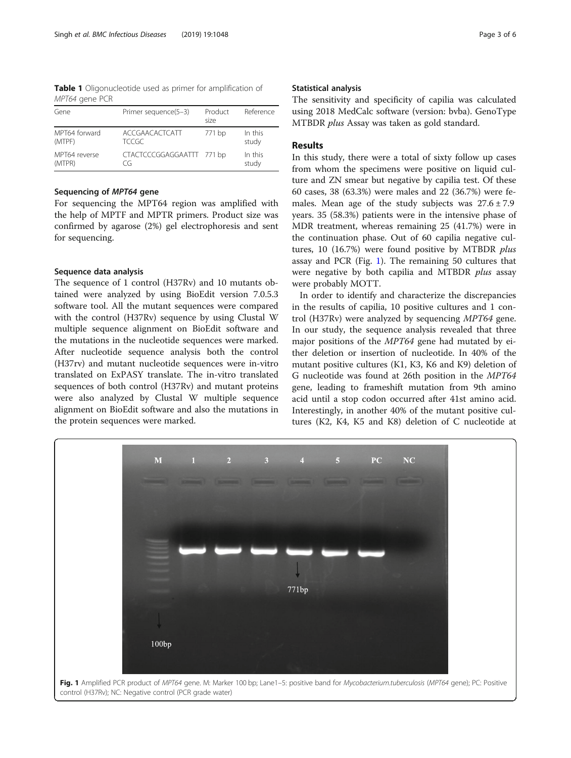<span id="page-2-0"></span>Table 1 Oligonucleotide used as primer for amplification of MPT64 gene PCR

| Gene          | Primer sequence(5-3)      | Product<br>size | Reference |
|---------------|---------------------------|-----------------|-----------|
| MPT64 forward | ACCGAACACTCATT            | 771 bp          | In this   |
| (MTPF)        | <b>TCCGC</b>              |                 | study     |
| MPT64 reverse | CTACTCCCGGAGGAATTT 771 bp |                 | In this   |
| (MTPR)        | CG                        |                 | study     |

# Sequencing of MPT64 gene

For sequencing the MPT64 region was amplified with the help of MPTF and MPTR primers. Product size was confirmed by agarose (2%) gel electrophoresis and sent for sequencing.

# Sequence data analysis

The sequence of 1 control (H37Rv) and 10 mutants obtained were analyzed by using BioEdit version 7.0.5.3 software tool. All the mutant sequences were compared with the control (H37Rv) sequence by using Clustal W multiple sequence alignment on BioEdit software and the mutations in the nucleotide sequences were marked. After nucleotide sequence analysis both the control (H37rv) and mutant nucleotide sequences were in-vitro translated on ExPASY translate. The in-vitro translated sequences of both control (H37Rv) and mutant proteins were also analyzed by Clustal W multiple sequence alignment on BioEdit software and also the mutations in the protein sequences were marked.

## Statistical analysis

The sensitivity and specificity of capilia was calculated using 2018 MedCalc software (version: bvba). GenoType MTBDR *plus* Assay was taken as gold standard.

# Results

In this study, there were a total of sixty follow up cases from whom the specimens were positive on liquid culture and ZN smear but negative by capilia test. Of these 60 cases, 38 (63.3%) were males and 22 (36.7%) were females. Mean age of the study subjects was  $27.6 \pm 7.9$ years. 35 (58.3%) patients were in the intensive phase of MDR treatment, whereas remaining 25 (41.7%) were in the continuation phase. Out of 60 capilia negative cultures, 10 (16.7%) were found positive by MTBDR plus assay and PCR (Fig. 1). The remaining 50 cultures that were negative by both capilia and MTBDR plus assay were probably MOTT.

In order to identify and characterize the discrepancies in the results of capilia, 10 positive cultures and 1 control (H37Rv) were analyzed by sequencing MPT64 gene. In our study, the sequence analysis revealed that three major positions of the MPT64 gene had mutated by either deletion or insertion of nucleotide. In 40% of the mutant positive cultures (K1, K3, K6 and K9) deletion of G nucleotide was found at 26th position in the MPT64 gene, leading to frameshift mutation from 9th amino acid until a stop codon occurred after 41st amino acid. Interestingly, in another 40% of the mutant positive cultures (K2, K4, K5 and K8) deletion of C nucleotide at

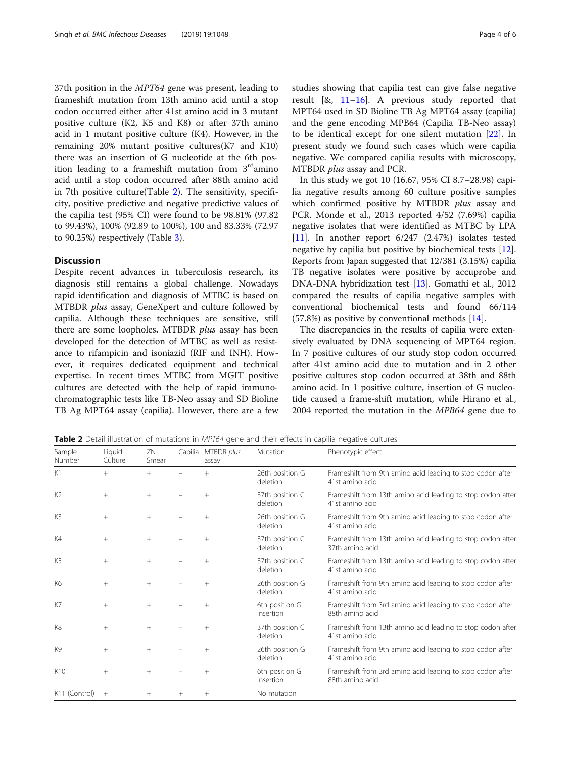37th position in the MPT64 gene was present, leading to frameshift mutation from 13th amino acid until a stop codon occurred either after 41st amino acid in 3 mutant positive culture (K2, K5 and K8) or after 37th amino acid in 1 mutant positive culture (K4). However, in the remaining 20% mutant positive cultures(K7 and K10) there was an insertion of G nucleotide at the 6th position leading to a frameshift mutation from  $3<sup>rd</sup>$ amino acid until a stop codon occurred after 88th amino acid in 7th positive culture(Table 2). The sensitivity, specificity, positive predictive and negative predictive values of the capilia test (95% CI) were found to be 98.81% (97.82 to 99.43%), 100% (92.89 to 100%), 100 and 83.33% (72.97 to 90.25%) respectively (Table [3](#page-4-0)).

# **Discussion**

Despite recent advances in tuberculosis research, its diagnosis still remains a global challenge. Nowadays rapid identification and diagnosis of MTBC is based on MTBDR plus assay, GeneXpert and culture followed by capilia. Although these techniques are sensitive, still there are some loopholes. MTBDR *plus* assay has been developed for the detection of MTBC as well as resistance to rifampicin and isoniazid (RIF and INH). However, it requires dedicated equipment and technical expertise. In recent times MTBC from MGIT positive cultures are detected with the help of rapid immunochromatographic tests like TB-Neo assay and SD Bioline TB Ag MPT64 assay (capilia). However, there are a few studies showing that capilia test can give false negative result  $[8, 11-16]$  $[8, 11-16]$  $[8, 11-16]$  $[8, 11-16]$ . A previous study reported that MPT64 used in SD Bioline TB Ag MPT64 assay (capilia) and the gene encoding MPB64 (Capilia TB-Neo assay) to be identical except for one silent mutation [\[22\]](#page-5-0). In present study we found such cases which were capilia negative. We compared capilia results with microscopy, MTBDR plus assay and PCR.

In this study we got 10 (16.67, 95% CI 8.7–28.98) capilia negative results among 60 culture positive samples which confirmed positive by MTBDR plus assay and PCR. Monde et al., 2013 reported 4/52 (7.69%) capilia negative isolates that were identified as MTBC by LPA [[11\]](#page-5-0). In another report 6/247 (2.47%) isolates tested negative by capilia but positive by biochemical tests [\[12](#page-5-0)]. Reports from Japan suggested that 12/381 (3.15%) capilia TB negative isolates were positive by accuprobe and DNA-DNA hybridization test [\[13\]](#page-5-0). Gomathi et al., 2012 compared the results of capilia negative samples with conventional biochemical tests and found 66/114 (57.8%) as positive by conventional methods [\[14](#page-5-0)].

The discrepancies in the results of capilia were extensively evaluated by DNA sequencing of MPT64 region. In 7 positive cultures of our study stop codon occurred after 41st amino acid due to mutation and in 2 other positive cultures stop codon occurred at 38th and 88th amino acid. In 1 positive culture, insertion of G nucleotide caused a frame-shift mutation, while Hirano et al., 2004 reported the mutation in the MPB64 gene due to

**Table 2** Detail illustration of mutations in MPT64 gene and their effects in capilia negative cultures

| Sample<br>Number | Liquid<br>Culture | ZN<br>Smear | Capilia | MTBDR plus<br>assay | Mutation                    | Phenotypic effect                                                              |
|------------------|-------------------|-------------|---------|---------------------|-----------------------------|--------------------------------------------------------------------------------|
| K1               | $^{+}$            | $^{+}$      |         | $^{+}$              | 26th position G<br>deletion | Frameshift from 9th amino acid leading to stop codon after<br>41st amino acid  |
| K <sub>2</sub>   | $+$               | $^{+}$      |         |                     | 37th position C<br>deletion | Frameshift from 13th amino acid leading to stop codon after<br>41st amino acid |
| K <sub>3</sub>   | $^{+}$            | $^{+}$      |         |                     | 26th position G<br>deletion | Frameshift from 9th amino acid leading to stop codon after<br>41st amino acid  |
| K4               | $^{+}$            | $+$         |         |                     | 37th position C<br>deletion | Frameshift from 13th amino acid leading to stop codon after<br>37th amino acid |
| K5               | $+$               | $^{+}$      |         | $^{+}$              | 37th position C<br>deletion | Frameshift from 13th amino acid leading to stop codon after<br>41st amino acid |
| K6               | $+$               | $+$         |         |                     | 26th position G<br>deletion | Frameshift from 9th amino acid leading to stop codon after<br>41st amino acid  |
| K7               | $+$               | $^{+}$      |         |                     | 6th position G<br>insertion | Frameshift from 3rd amino acid leading to stop codon after<br>88th amino acid  |
| K8               | $+$               | $^{+}$      |         |                     | 37th position C<br>deletion | Frameshift from 13th amino acid leading to stop codon after<br>41st amino acid |
| K9               | $\! + \!\!\!\!$   | $+$         |         | $^{+}$              | 26th position G<br>deletion | Frameshift from 9th amino acid leading to stop codon after<br>41st amino acid  |
| K <sub>10</sub>  | $+$               | $^{+}$      |         | $^{+}$              | 6th position G<br>insertion | Frameshift from 3rd amino acid leading to stop codon after<br>88th amino acid  |
| K11 (Control)    | $^{+}$            | $^{+}$      | $^{+}$  | $^{+}$              | No mutation                 |                                                                                |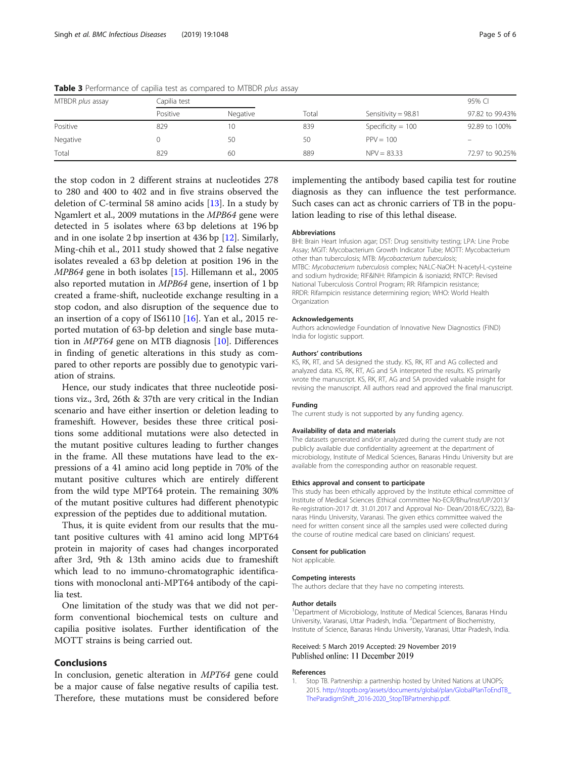| MTBDR plus assay | Capilia test |          | Total | Sensitivity = $98.81$ | 95% CI          |  |
|------------------|--------------|----------|-------|-----------------------|-----------------|--|
|                  | Positive     | Negative |       |                       | 97.82 to 99.43% |  |
| Positive         | 829          | 10       | 839   | Specificity = $100$   | 92.89 to 100%   |  |
| Negative         |              | 50       | 50    | $PPV = 100$           |                 |  |
| Total            | 829          | 60       | 889   | $NPV = 83.33$         | 72.97 to 90.25% |  |

<span id="page-4-0"></span>Table 3 Performance of capilia test as compared to MTBDR plus assay

the stop codon in 2 different strains at nucleotides 278 to 280 and 400 to 402 and in five strains observed the deletion of C-terminal 58 amino acids [[13\]](#page-5-0). In a study by Ngamlert et al., 2009 mutations in the MPB64 gene were detected in 5 isolates where 63 bp deletions at 196 bp and in one isolate 2 bp insertion at 436 bp [[12](#page-5-0)]. Similarly, Ming-chih et al., 2011 study showed that 2 false negative isolates revealed a 63 bp deletion at position 196 in the MPB64 gene in both isolates [\[15](#page-5-0)]. Hillemann et al., 2005 also reported mutation in MPB64 gene, insertion of 1 bp created a frame-shift, nucleotide exchange resulting in a stop codon, and also disruption of the sequence due to an insertion of a copy of IS6110 [\[16](#page-5-0)]. Yan et al., 2015 reported mutation of 63-bp deletion and single base mutation in MPT64 gene on MTB diagnosis [\[10](#page-5-0)]. Differences in finding of genetic alterations in this study as compared to other reports are possibly due to genotypic variation of strains.

Hence, our study indicates that three nucleotide positions viz., 3rd, 26th & 37th are very critical in the Indian scenario and have either insertion or deletion leading to frameshift. However, besides these three critical positions some additional mutations were also detected in the mutant positive cultures leading to further changes in the frame. All these mutations have lead to the expressions of a 41 amino acid long peptide in 70% of the mutant positive cultures which are entirely different from the wild type MPT64 protein. The remaining 30% of the mutant positive cultures had different phenotypic expression of the peptides due to additional mutation.

Thus, it is quite evident from our results that the mutant positive cultures with 41 amino acid long MPT64 protein in majority of cases had changes incorporated after 3rd, 9th & 13th amino acids due to frameshift which lead to no immuno-chromatographic identifications with monoclonal anti-MPT64 antibody of the capilia test.

One limitation of the study was that we did not perform conventional biochemical tests on culture and capilia positive isolates. Further identification of the MOTT strains is being carried out.

# Conclusions

In conclusion, genetic alteration in MPT64 gene could be a major cause of false negative results of capilia test. Therefore, these mutations must be considered before

implementing the antibody based capilia test for routine diagnosis as they can influence the test performance. Such cases can act as chronic carriers of TB in the population leading to rise of this lethal disease.

#### Abbreviations

BHI: Brain Heart Infusion agar; DST: Drug sensitivity testing; LPA: Line Probe Assay; MGIT: Mycobacterium Growth Indicator Tube; MOTT: Mycobacterium other than tuberculosis; MTB: Mycobacterium tuberculosis; MTBC: Mycobacterium tuberculosis complex; NALC-NaOH: N-acetyl-L-cysteine and sodium hydroxide; RIF&INH: Rifampicin & isoniazid; RNTCP: Revised National Tuberculosis Control Program; RR: Rifampicin resistance; RRDR: Rifampicin resistance determining region; WHO: World Health **Organization** 

#### Acknowledgements

Authors acknowledge Foundation of Innovative New Diagnostics (FIND) India for logistic support.

#### Authors' contributions

KS, RK, RT, and SA designed the study. KS, RK, RT and AG collected and analyzed data. KS, RK, RT, AG and SA interpreted the results. KS primarily wrote the manuscript. KS, RK, RT, AG and SA provided valuable insight for revising the manuscript. All authors read and approved the final manuscript.

#### Funding

The current study is not supported by any funding agency.

#### Availability of data and materials

The datasets generated and/or analyzed during the current study are not publicly available due confidentiality agreement at the department of microbiology, Institute of Medical Sciences, Banaras Hindu University but are available from the corresponding author on reasonable request.

#### Ethics approval and consent to participate

This study has been ethically approved by the Institute ethical committee of Institute of Medical Sciences (Ethical committee No-ECR/Bhu/Inst/UP/2013/ Re-registration-2017 dt. 31.01.2017 and Approval No- Dean/2018/EC/322), Banaras Hindu University, Varanasi. The given ethics committee waived the need for written consent since all the samples used were collected during the course of routine medical care based on clinicians' request.

#### Consent for publication

Not applicable.

#### Competing interests

The authors declare that they have no competing interests.

### Author details

<sup>1</sup>Department of Microbiology, Institute of Medical Sciences, Banaras Hindu University, Varanasi, Uttar Pradesh, India. <sup>2</sup>Department of Biochemistry, Institute of Science, Banaras Hindu University, Varanasi, Uttar Pradesh, India.

# Received: 5 March 2019 Accepted: 29 November 2019 Published online: 11 December 2019

#### References

Stop TB. Partnership: a partnership hosted by United Nations at UNOPS; 2015. [http://stoptb.org/assets/documents/global/plan/GlobalPlanToEndTB\\_](http://stoptb.org/assets/documents/global/plan/GlobalPlanToEndTB_TheParadigmShift_2016-2020_StopTBPartnership.pdf) [TheParadigmShift\\_2016-2020\\_StopTBPartnership.pdf.](http://stoptb.org/assets/documents/global/plan/GlobalPlanToEndTB_TheParadigmShift_2016-2020_StopTBPartnership.pdf)